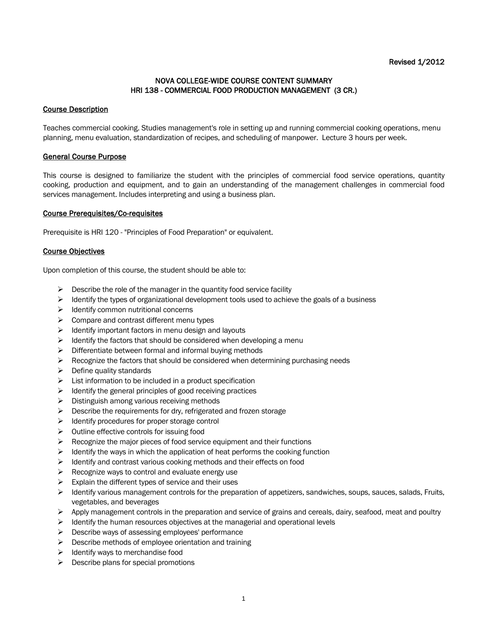## NOVA COLLEGE-WIDE COURSE CONTENT SUMMARY HRI 138 - COMMERCIAL FOOD PRODUCTION MANAGEMENT (3 CR.)

## Course Description

Teaches commercial cooking. Studies management's role in setting up and running commercial cooking operations, menu planning, menu evaluation, standardization of recipes, and scheduling of manpower. Lecture 3 hours per week.

## General Course Purpose

This course is designed to familiarize the student with the principles of commercial food service operations, quantity cooking, production and equipment, and to gain an understanding of the management challenges in commercial food services management. Includes interpreting and using a business plan.

#### Course Prerequisites/Co-requisites

Prerequisite is HRI 120 - "Principles of Food Preparation" or equivalent.

#### Course Objectives

Upon completion of this course, the student should be able to:

- $\triangleright$  Describe the role of the manager in the quantity food service facility
- $\triangleright$  Identify the types of organizational development tools used to achieve the goals of a business
- $\triangleright$  Identify common nutritional concerns
- $\triangleright$  Compare and contrast different menu types
- $\triangleright$  Identify important factors in menu design and layouts
- $\triangleright$  Identify the factors that should be considered when developing a menu
- $\triangleright$  Differentiate between formal and informal buying methods
- $\triangleright$  Recognize the factors that should be considered when determining purchasing needs
- $\triangleright$  Define quality standards
- $\triangleright$  List information to be included in a product specification
- $\triangleright$  Identify the general principles of good receiving practices
- $\triangleright$  Distinguish among various receiving methods
- $\triangleright$  Describe the requirements for dry, refrigerated and frozen storage
- $\triangleright$  Identify procedures for proper storage control
- $\triangleright$  Outline effective controls for issuing food
- $\triangleright$  Recognize the major pieces of food service equipment and their functions
- $\triangleright$  Identify the ways in which the application of heat performs the cooking function
- $\triangleright$  Identify and contrast various cooking methods and their effects on food
- $\triangleright$  Recognize ways to control and evaluate energy use
- $\triangleright$  Explain the different types of service and their uses
- $\triangleright$  Identify various management controls for the preparation of appetizers, sandwiches, soups, sauces, salads, Fruits, vegetables, and beverages
- $\triangleright$  Apply management controls in the preparation and service of grains and cereals, dairy, seafood, meat and poultry
- $\triangleright$  Identify the human resources objectives at the managerial and operational levels
- $\triangleright$  Describe ways of assessing employees' performance
- $\triangleright$  Describe methods of employee orientation and training
- $\triangleright$  Identify ways to merchandise food
- $\triangleright$  Describe plans for special promotions